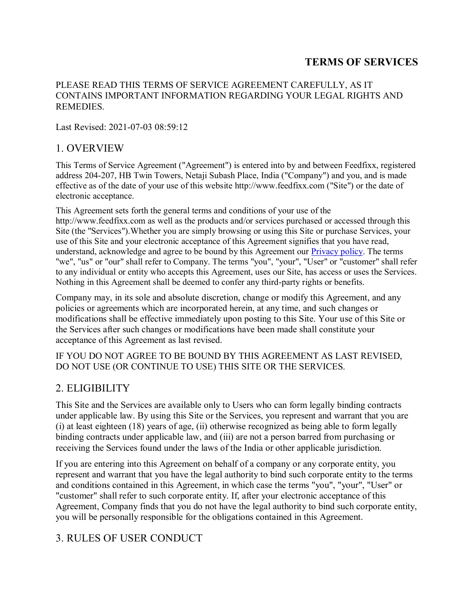### **TERMS OF SERVICES**

#### PLEASE READ THIS TERMS OF SERVICE AGREEMENT CAREFULLY, AS IT CONTAINS IMPORTANT INFORMATION REGARDING YOUR LEGAL RIGHTS AND **REMEDIES**

Last Revised: 2021-07-03 08:59:12

### 1. OVERVIEW

This Terms of Service Agreement ("Agreement") is entered into by and between Feedfixx, registered address 204-207, HB Twin Towers, Netaji Subash Place, India ("Company") and you, and is made effective as of the date of your use of this website http://www.feedfixx.com ("Site") or the date of electronic acceptance.

This Agreement sets forth the general terms and conditions of your use of the http://www.feedfixx.com as well as the products and/or services purchased or accessed through this Site (the "Services").Whether you are simply browsing or using this Site or purchase Services, your use of this Site and your electronic acceptance of this Agreement signifies that you have read, understand, acknowledge and agree to be bound by this Agreement our Privacy policy. The terms "we", "us" or "our" shall refer to Company. The terms "you", "your", "User" or "customer" shall refer to any individual or entity who accepts this Agreement, uses our Site, has access or uses the Services. Nothing in this Agreement shall be deemed to confer any third-party rights or benefits.

Company may, in its sole and absolute discretion, change or modify this Agreement, and any policies or agreements which are incorporated herein, at any time, and such changes or modifications shall be effective immediately upon posting to this Site. Your use of this Site or the Services after such changes or modifications have been made shall constitute your acceptance of this Agreement as last revised.

IF YOU DO NOT AGREE TO BE BOUND BY THIS AGREEMENT AS LAST REVISED, DO NOT USE (OR CONTINUE TO USE) THIS SITE OR THE SERVICES.

# 2. ELIGIBILITY

This Site and the Services are available only to Users who can form legally binding contracts under applicable law. By using this Site or the Services, you represent and warrant that you are (i) at least eighteen (18) years of age, (ii) otherwise recognized as being able to form legally binding contracts under applicable law, and (iii) are not a person barred from purchasing or receiving the Services found under the laws of the India or other applicable jurisdiction.

If you are entering into this Agreement on behalf of a company or any corporate entity, you represent and warrant that you have the legal authority to bind such corporate entity to the terms and conditions contained in this Agreement, in which case the terms "you", "your", "User" or "customer" shall refer to such corporate entity. If, after your electronic acceptance of this Agreement, Company finds that you do not have the legal authority to bind such corporate entity, you will be personally responsible for the obligations contained in this Agreement.

# 3. RULES OF USER CONDUCT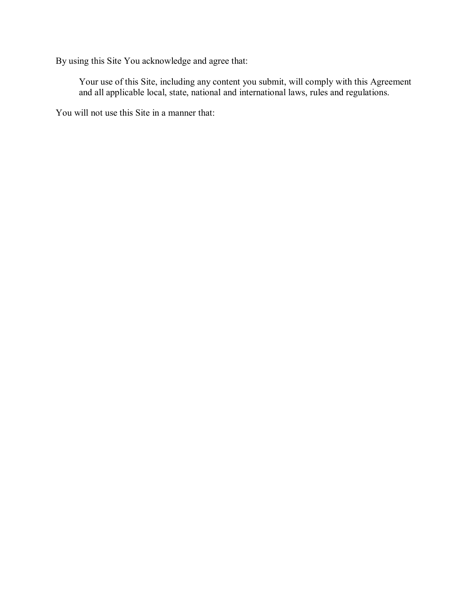By using this Site You acknowledge and agree that:

Your use of this Site, including any content you submit, will comply with this Agreement and all applicable local, state, national and international laws, rules and regulations.

You will not use this Site in a manner that: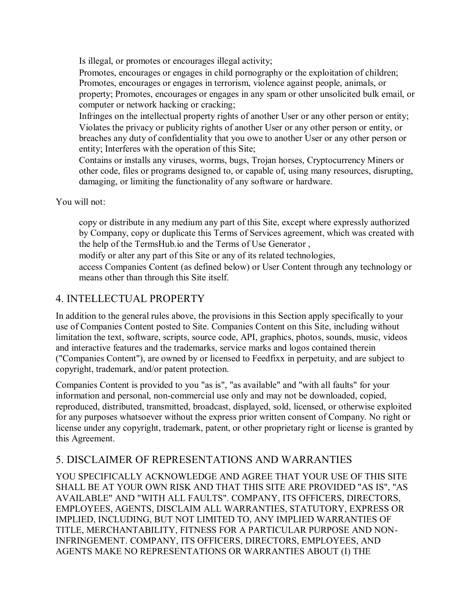Is illegal, or promotes or encourages illegal activity;

Promotes, encourages or engages in child pornography or the exploitation of children; Promotes, encourages or engages in terrorism, violence against people, animals, or property; Promotes, encourages or engages in any spam or other unsolicited bulk email, or computer or network hacking or cracking;

Infringes on the intellectual property rights of another User or any other person or entity; Violates the privacy or publicity rights of another User or any other person or entity, or breaches any duty of confidentiality that you owe to another User or any other person or entity; Interferes with the operation of this Site;

Contains or installs any viruses, worms, bugs, Trojan horses, Cryptocurrency Miners or other code, files or programs designed to, or capable of, using many resources, disrupting, damaging, or limiting the functionality of any software or hardware.

You will not:

copy or distribute in any medium any part of this Site, except where expressly authorized by Company, copy or duplicate this Terms of Services agreement, which was created with the help of the TermsHub.io and the Terms of Use Generator ,

modify or alter any part of this Site or any of its related technologies,

access Companies Content (as defined below) or User Content through any technology or means other than through this Site itself.

# 4. INTELLECTUAL PROPERTY

In addition to the general rules above, the provisions in this Section apply specifically to your use of Companies Content posted to Site. Companies Content on this Site, including without limitation the text, software, scripts, source code, API, graphics, photos, sounds, music, videos and interactive features and the trademarks, service marks and logos contained therein ("Companies Content"), are owned by or licensed to Feedfixx in perpetuity, and are subject to copyright, trademark, and/or patent protection.

Companies Content is provided to you "as is", "as available" and "with all faults" for your information and personal, non-commercial use only and may not be downloaded, copied, reproduced, distributed, transmitted, broadcast, displayed, sold, licensed, or otherwise exploited for any purposes whatsoever without the express prior written consent of Company. No right or license under any copyright, trademark, patent, or other proprietary right or license is granted by this Agreement.

# 5. DISCLAIMER OF REPRESENTATIONS AND WARRANTIES

YOU SPECIFICALLY ACKNOWLEDGE AND AGREE THAT YOUR USE OF THIS SITE SHALL BE AT YOUR OWN RISK AND THAT THIS SITE ARE PROVIDED "AS IS", "AS AVAILABLE" AND "WITH ALL FAULTS". COMPANY, ITS OFFICERS, DIRECTORS, EMPLOYEES, AGENTS, DISCLAIM ALL WARRANTIES, STATUTORY, EXPRESS OR IMPLIED, INCLUDING, BUT NOT LIMITED TO, ANY IMPLIED WARRANTIES OF TITLE, MERCHANTABILITY, FITNESS FOR A PARTICULAR PURPOSE AND NON-INFRINGEMENT. COMPANY, ITS OFFICERS, DIRECTORS, EMPLOYEES, AND AGENTS MAKE NO REPRESENTATIONS OR WARRANTIES ABOUT (I) THE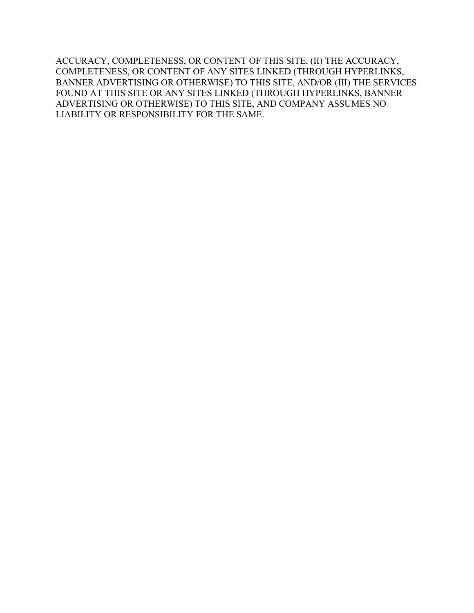ACCURACY, COMPLETENESS, OR CONTENT OF THIS SITE, (II) THE ACCURACY, COMPLETENESS, OR CONTENT OF ANY SITES LINKED (THROUGH HYPERLINKS, BANNER ADVERTISING OR OTHERWISE) TO THIS SITE, AND/OR (III) THE SERVICES FOUND AT THIS SITE OR ANY SITES LINKED (THROUGH HYPERLINKS, BANNER ADVERTISING OR OTHERWISE) TO THIS SITE, AND COMPANY ASSUMES NO LIABILITY OR RESPONSIBILITY FOR THE SAME.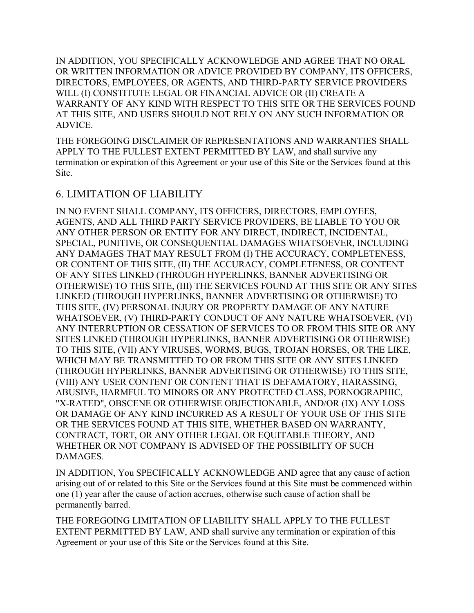IN ADDITION, YOU SPECIFICALLY ACKNOWLEDGE AND AGREE THAT NO ORAL OR WRITTEN INFORMATION OR ADVICE PROVIDED BY COMPANY, ITS OFFICERS, DIRECTORS, EMPLOYEES, OR AGENTS, AND THIRD-PARTY SERVICE PROVIDERS WILL (I) CONSTITUTE LEGAL OR FINANCIAL ADVICE OR (II) CREATE A WARRANTY OF ANY KIND WITH RESPECT TO THIS SITE OR THE SERVICES FOUND AT THIS SITE, AND USERS SHOULD NOT RELY ON ANY SUCH INFORMATION OR ADVICE.

THE FOREGOING DISCLAIMER OF REPRESENTATIONS AND WARRANTIES SHALL APPLY TO THE FULLEST EXTENT PERMITTED BY LAW, and shall survive any termination or expiration of this Agreement or your use of this Site or the Services found at this Site.

#### 6. LIMITATION OF LIABILITY

IN NO EVENT SHALL COMPANY, ITS OFFICERS, DIRECTORS, EMPLOYEES, AGENTS, AND ALL THIRD PARTY SERVICE PROVIDERS, BE LIABLE TO YOU OR ANY OTHER PERSON OR ENTITY FOR ANY DIRECT, INDIRECT, INCIDENTAL, SPECIAL, PUNITIVE, OR CONSEQUENTIAL DAMAGES WHATSOEVER, INCLUDING ANY DAMAGES THAT MAY RESULT FROM (I) THE ACCURACY, COMPLETENESS, OR CONTENT OF THIS SITE, (II) THE ACCURACY, COMPLETENESS, OR CONTENT OF ANY SITES LINKED (THROUGH HYPERLINKS, BANNER ADVERTISING OR OTHERWISE) TO THIS SITE, (III) THE SERVICES FOUND AT THIS SITE OR ANY SITES LINKED (THROUGH HYPERLINKS, BANNER ADVERTISING OR OTHERWISE) TO THIS SITE, (IV) PERSONAL INJURY OR PROPERTY DAMAGE OF ANY NATURE WHATSOEVER, (V) THIRD-PARTY CONDUCT OF ANY NATURE WHATSOEVER, (VI) ANY INTERRUPTION OR CESSATION OF SERVICES TO OR FROM THIS SITE OR ANY SITES LINKED (THROUGH HYPERLINKS, BANNER ADVERTISING OR OTHERWISE) TO THIS SITE, (VII) ANY VIRUSES, WORMS, BUGS, TROJAN HORSES, OR THE LIKE, WHICH MAY BE TRANSMITTED TO OR FROM THIS SITE OR ANY SITES LINKED (THROUGH HYPERLINKS, BANNER ADVERTISING OR OTHERWISE) TO THIS SITE, (VIII) ANY USER CONTENT OR CONTENT THAT IS DEFAMATORY, HARASSING, ABUSIVE, HARMFUL TO MINORS OR ANY PROTECTED CLASS, PORNOGRAPHIC, "X-RATED", OBSCENE OR OTHERWISE OBJECTIONABLE, AND/OR (IX) ANY LOSS OR DAMAGE OF ANY KIND INCURRED AS A RESULT OF YOUR USE OF THIS SITE OR THE SERVICES FOUND AT THIS SITE, WHETHER BASED ON WARRANTY, CONTRACT, TORT, OR ANY OTHER LEGAL OR EQUITABLE THEORY, AND WHETHER OR NOT COMPANY IS ADVISED OF THE POSSIBILITY OF SUCH DAMAGES.

IN ADDITION, You SPECIFICALLY ACKNOWLEDGE AND agree that any cause of action arising out of or related to this Site or the Services found at this Site must be commenced within one (1) year after the cause of action accrues, otherwise such cause of action shall be permanently barred.

THE FOREGOING LIMITATION OF LIABILITY SHALL APPLY TO THE FULLEST EXTENT PERMITTED BY LAW, AND shall survive any termination or expiration of this Agreement or your use of this Site or the Services found at this Site.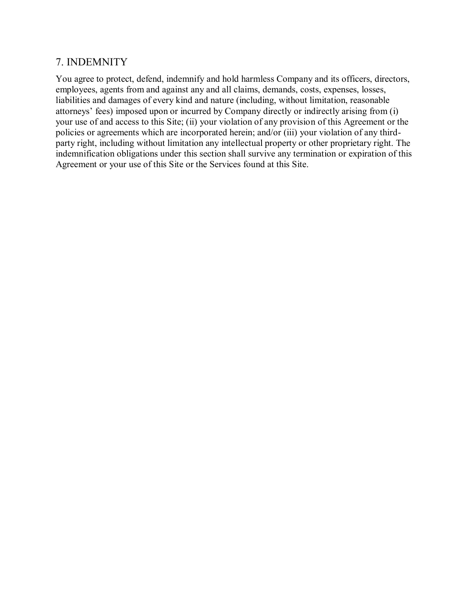#### 7. INDEMNITY

You agree to protect, defend, indemnify and hold harmless Company and its officers, directors, employees, agents from and against any and all claims, demands, costs, expenses, losses, liabilities and damages of every kind and nature (including, without limitation, reasonable attorneys' fees) imposed upon or incurred by Company directly or indirectly arising from (i) your use of and access to this Site; (ii) your violation of any provision of this Agreement or the policies or agreements which are incorporated herein; and/or (iii) your violation of any thirdparty right, including without limitation any intellectual property or other proprietary right. The indemnification obligations under this section shall survive any termination or expiration of this Agreement or your use of this Site or the Services found at this Site.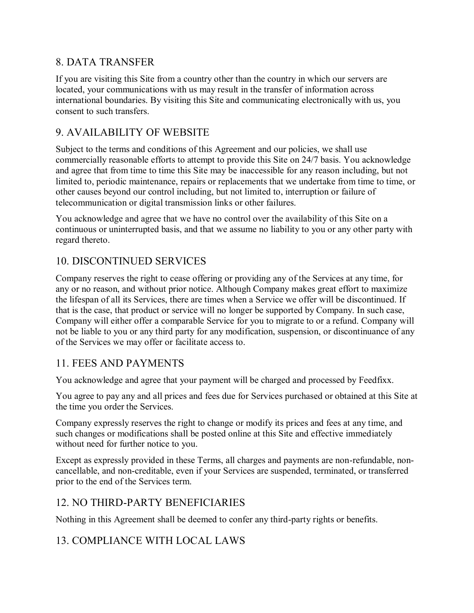### 8. DATA TRANSFER

If you are visiting this Site from a country other than the country in which our servers are located, your communications with us may result in the transfer of information across international boundaries. By visiting this Site and communicating electronically with us, you consent to such transfers.

## 9. AVAILABILITY OF WEBSITE

Subject to the terms and conditions of this Agreement and our policies, we shall use commercially reasonable efforts to attempt to provide this Site on 24/7 basis. You acknowledge and agree that from time to time this Site may be inaccessible for any reason including, but not limited to, periodic maintenance, repairs or replacements that we undertake from time to time, or other causes beyond our control including, but not limited to, interruption or failure of telecommunication or digital transmission links or other failures.

You acknowledge and agree that we have no control over the availability of this Site on a continuous or uninterrupted basis, and that we assume no liability to you or any other party with regard thereto.

# 10. DISCONTINUED SERVICES

Company reserves the right to cease offering or providing any of the Services at any time, for any or no reason, and without prior notice. Although Company makes great effort to maximize the lifespan of all its Services, there are times when a Service we offer will be discontinued. If that is the case, that product or service will no longer be supported by Company. In such case, Company will either offer a comparable Service for you to migrate to or a refund. Company will not be liable to you or any third party for any modification, suspension, or discontinuance of any of the Services we may offer or facilitate access to.

### 11. FEES AND PAYMENTS

You acknowledge and agree that your payment will be charged and processed by Feedfixx.

You agree to pay any and all prices and fees due for Services purchased or obtained at this Site at the time you order the Services.

Company expressly reserves the right to change or modify its prices and fees at any time, and such changes or modifications shall be posted online at this Site and effective immediately without need for further notice to you.

Except as expressly provided in these Terms, all charges and payments are non-refundable, noncancellable, and non-creditable, even if your Services are suspended, terminated, or transferred prior to the end of the Services term.

### 12. NO THIRD-PARTY BENEFICIARIES

Nothing in this Agreement shall be deemed to confer any third-party rights or benefits.

# 13. COMPLIANCE WITH LOCAL LAWS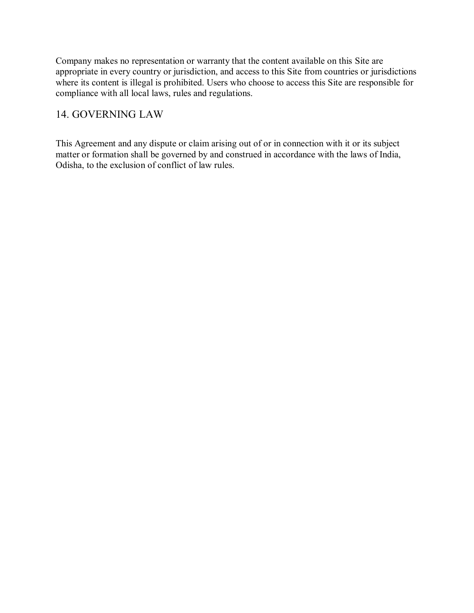Company makes no representation or warranty that the content available on this Site are appropriate in every country or jurisdiction, and access to this Site from countries or jurisdictions where its content is illegal is prohibited. Users who choose to access this Site are responsible for compliance with all local laws, rules and regulations.

### 14. GOVERNING LAW

This Agreement and any dispute or claim arising out of or in connection with it or its subject matter or formation shall be governed by and construed in accordance with the laws of India, Odisha, to the exclusion of conflict of law rules.